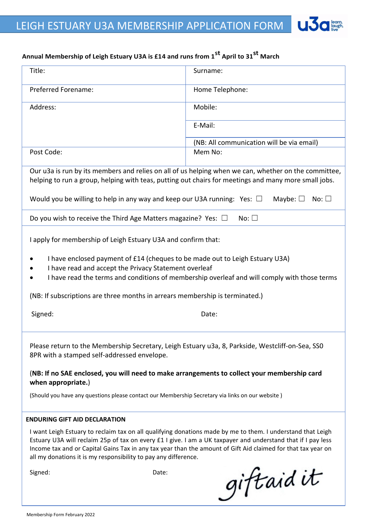## **Annual Membership of Leigh Estuary U3A is £14 and runs from 1st April to 31st March**

| Title:                                                                                                                                                                                                                                                                                                                                                                                                         | Surname:                                  |
|----------------------------------------------------------------------------------------------------------------------------------------------------------------------------------------------------------------------------------------------------------------------------------------------------------------------------------------------------------------------------------------------------------------|-------------------------------------------|
| Preferred Forename:                                                                                                                                                                                                                                                                                                                                                                                            | Home Telephone:                           |
| Address:                                                                                                                                                                                                                                                                                                                                                                                                       | Mobile:                                   |
|                                                                                                                                                                                                                                                                                                                                                                                                                | E-Mail:                                   |
|                                                                                                                                                                                                                                                                                                                                                                                                                | (NB: All communication will be via email) |
| Post Code:                                                                                                                                                                                                                                                                                                                                                                                                     | Mem No:                                   |
| Our u3a is run by its members and relies on all of us helping when we can, whether on the committee,<br>helping to run a group, helping with teas, putting out chairs for meetings and many more small jobs.                                                                                                                                                                                                   |                                           |
| Would you be willing to help in any way and keep our U3A running: Yes: $\square$<br>Maybe: $\square$<br>No: $\square$                                                                                                                                                                                                                                                                                          |                                           |
| Do you wish to receive the Third Age Matters magazine? Yes: $\Box$<br>No: $\square$                                                                                                                                                                                                                                                                                                                            |                                           |
| I apply for membership of Leigh Estuary U3A and confirm that:                                                                                                                                                                                                                                                                                                                                                  |                                           |
| I have enclosed payment of £14 (cheques to be made out to Leigh Estuary U3A)<br>I have read and accept the Privacy Statement overleaf<br>I have read the terms and conditions of membership overleaf and will comply with those terms                                                                                                                                                                          |                                           |
| (NB: If subscriptions are three months in arrears membership is terminated.)                                                                                                                                                                                                                                                                                                                                   |                                           |
| Signed:                                                                                                                                                                                                                                                                                                                                                                                                        | Date:                                     |
| Please return to the Membership Secretary, Leigh Estuary u3a, 8, Parkside, Westcliff-on-Sea, SSO<br>8PR with a stamped self-addressed envelope.                                                                                                                                                                                                                                                                |                                           |
| (NB: If no SAE enclosed, you will need to make arrangements to collect your membership card<br>when appropriate.)                                                                                                                                                                                                                                                                                              |                                           |
| (Should you have any questions please contact our Membership Secretary via links on our website)                                                                                                                                                                                                                                                                                                               |                                           |
| <b>ENDURING GIFT AID DECLARATION</b>                                                                                                                                                                                                                                                                                                                                                                           |                                           |
| I want Leigh Estuary to reclaim tax on all qualifying donations made by me to them. I understand that Leigh<br>Estuary U3A will reclaim 25p of tax on every £1 I give. I am a UK taxpayer and understand that if I pay less<br>Income tax and or Capital Gains Tax in any tax year than the amount of Gift Aid claimed for that tax year on<br>all my donations it is my responsibility to pay any difference. |                                           |
| Signed:<br>Date:                                                                                                                                                                                                                                                                                                                                                                                               | giftaidit                                 |